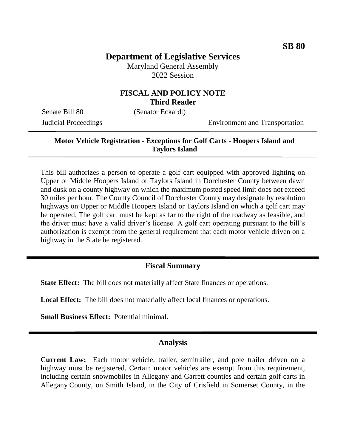# **Department of Legislative Services**

Maryland General Assembly 2022 Session

## **FISCAL AND POLICY NOTE Third Reader**

Senate Bill 80 (Senator Eckardt)

Judicial Proceedings Environment and Transportation

#### **Motor Vehicle Registration - Exceptions for Golf Carts - Hoopers Island and Taylors Island**

This bill authorizes a person to operate a golf cart equipped with approved lighting on Upper or Middle Hoopers Island or Taylors Island in Dorchester County between dawn and dusk on a county highway on which the maximum posted speed limit does not exceed 30 miles per hour. The County Council of Dorchester County may designate by resolution highways on Upper or Middle Hoopers Island or Taylors Island on which a golf cart may be operated. The golf cart must be kept as far to the right of the roadway as feasible, and the driver must have a valid driver's license. A golf cart operating pursuant to the bill's authorization is exempt from the general requirement that each motor vehicle driven on a highway in the State be registered.

## **Fiscal Summary**

**State Effect:** The bill does not materially affect State finances or operations.

**Local Effect:** The bill does not materially affect local finances or operations.

**Small Business Effect:** Potential minimal.

#### **Analysis**

**Current Law:** Each motor vehicle, trailer, semitrailer, and pole trailer driven on a highway must be registered. Certain motor vehicles are exempt from this requirement, including certain snowmobiles in Allegany and Garrett counties and certain golf carts in Allegany County, on Smith Island, in the City of Crisfield in Somerset County, in the